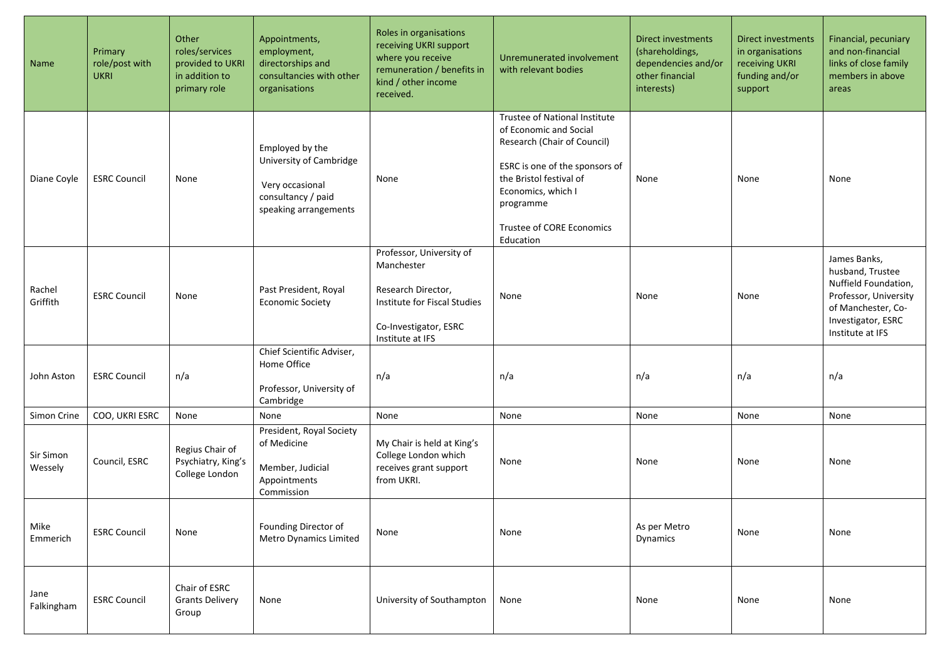| Name                 | Primary<br>role/post with<br><b>UKRI</b> | Other<br>roles/services<br>provided to UKRI<br>in addition to<br>primary role | Appointments,<br>employment,<br>directorships and<br>consultancies with other<br>organisations               | Roles in organisations<br>receiving UKRI support<br>where you receive<br>remuneration / benefits in<br>kind / other income<br>received.   | Unremunerated involvement<br>with relevant bodies                                                                                                                                                                                | <b>Direct investments</b><br>(shareholdings,<br>dependencies and/or<br>other financial<br>interests) | Direct investments<br>in organisations<br>receiving UKRI<br>funding and/or<br>support | Financial, pecuniary<br>and non-financial<br>links of close family<br>members in above<br>areas                                                   |
|----------------------|------------------------------------------|-------------------------------------------------------------------------------|--------------------------------------------------------------------------------------------------------------|-------------------------------------------------------------------------------------------------------------------------------------------|----------------------------------------------------------------------------------------------------------------------------------------------------------------------------------------------------------------------------------|------------------------------------------------------------------------------------------------------|---------------------------------------------------------------------------------------|---------------------------------------------------------------------------------------------------------------------------------------------------|
| Diane Coyle          | <b>ESRC Council</b>                      | None                                                                          | Employed by the<br>University of Cambridge<br>Very occasional<br>consultancy / paid<br>speaking arrangements | None                                                                                                                                      | Trustee of National Institute<br>of Economic and Social<br>Research (Chair of Council)<br>ESRC is one of the sponsors of<br>the Bristol festival of<br>Economics, which I<br>programme<br>Trustee of CORE Economics<br>Education | None                                                                                                 | None                                                                                  | None                                                                                                                                              |
| Rachel<br>Griffith   | <b>ESRC Council</b>                      | None                                                                          | Past President, Royal<br><b>Economic Society</b>                                                             | Professor, University of<br>Manchester<br>Research Director,<br>Institute for Fiscal Studies<br>Co-Investigator, ESRC<br>Institute at IFS | None                                                                                                                                                                                                                             | None                                                                                                 | None                                                                                  | James Banks,<br>husband, Trustee<br>Nuffield Foundation,<br>Professor, University<br>of Manchester, Co-<br>Investigator, ESRC<br>Institute at IFS |
| John Aston           | <b>ESRC Council</b>                      | n/a                                                                           | Chief Scientific Adviser,<br>Home Office<br>Professor, University of<br>Cambridge                            | n/a                                                                                                                                       | n/a                                                                                                                                                                                                                              | n/a                                                                                                  | n/a                                                                                   | n/a                                                                                                                                               |
| Simon Crine          | COO, UKRI ESRC                           | None                                                                          | None                                                                                                         | None                                                                                                                                      | None                                                                                                                                                                                                                             | None                                                                                                 | None                                                                                  | None                                                                                                                                              |
| Sir Simon<br>Wessely | Council, ESRC                            | Regius Chair of<br>Psychiatry, King's<br>College London                       | President, Royal Society<br>of Medicine<br>Member, Judicial<br>Appointments<br>Commission                    | My Chair is held at King's<br>College London which<br>receives grant support<br>from UKRI.                                                | None                                                                                                                                                                                                                             | None                                                                                                 | None                                                                                  | None                                                                                                                                              |
| Mike<br>Emmerich     | <b>ESRC Council</b>                      | None                                                                          | Founding Director of<br>Metro Dynamics Limited                                                               | None                                                                                                                                      | None                                                                                                                                                                                                                             | As per Metro<br>Dynamics                                                                             | None                                                                                  | None                                                                                                                                              |
| Jane<br>Falkingham   | <b>ESRC Council</b>                      | Chair of ESRC<br><b>Grants Delivery</b><br>Group                              | None                                                                                                         | University of Southampton                                                                                                                 | None                                                                                                                                                                                                                             | None                                                                                                 | None                                                                                  | None                                                                                                                                              |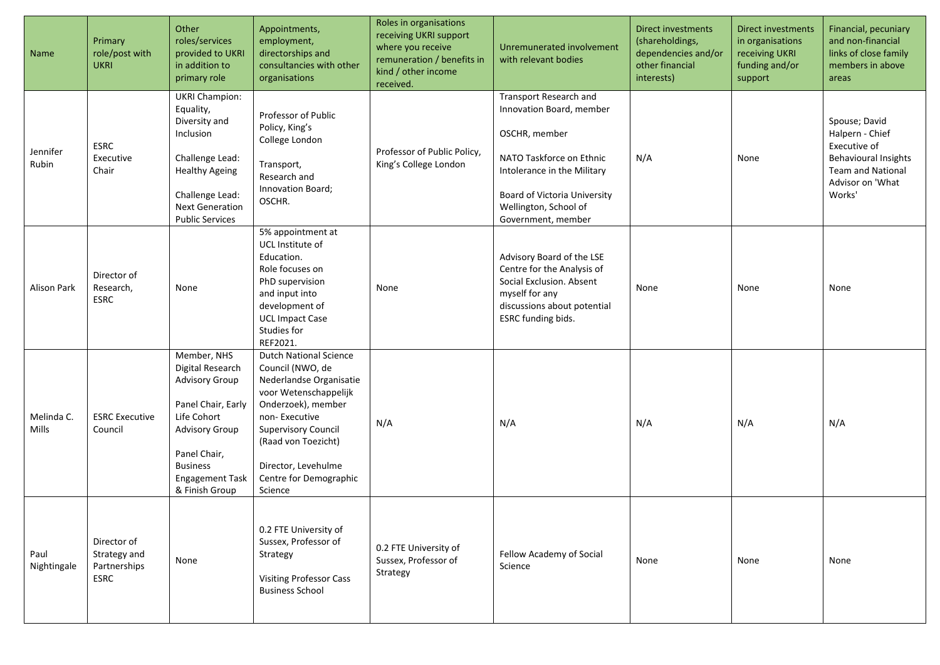| Name                       | Primary<br>role/post with<br><b>UKRI</b>            | Other<br>roles/services<br>provided to UKRI<br>in addition to<br>primary role                                                                                                                         | Appointments,<br>employment,<br>directorships and<br>consultancies with other<br>organisations                                                                                                                                                                | Roles in organisations<br>receiving UKRI support<br>where you receive<br>remuneration / benefits in<br>kind / other income<br>received. | Unremunerated involvement<br>with relevant bodies                                                                                                                                                                    | Direct investments<br>(shareholdings,<br>dependencies and/or<br>other financial<br>interests) | Direct investments<br>in organisations<br>receiving UKRI<br>funding and/or<br>support | Financial, pecuniary<br>and non-financial<br>links of close family<br>members in above<br>areas                                           |
|----------------------------|-----------------------------------------------------|-------------------------------------------------------------------------------------------------------------------------------------------------------------------------------------------------------|---------------------------------------------------------------------------------------------------------------------------------------------------------------------------------------------------------------------------------------------------------------|-----------------------------------------------------------------------------------------------------------------------------------------|----------------------------------------------------------------------------------------------------------------------------------------------------------------------------------------------------------------------|-----------------------------------------------------------------------------------------------|---------------------------------------------------------------------------------------|-------------------------------------------------------------------------------------------------------------------------------------------|
| Jennifer<br>Rubin          | <b>ESRC</b><br>Executive<br>Chair                   | <b>UKRI Champion:</b><br>Equality,<br>Diversity and<br>Inclusion<br>Challenge Lead:<br><b>Healthy Ageing</b><br>Challenge Lead:<br><b>Next Generation</b><br><b>Public Services</b>                   | Professor of Public<br>Policy, King's<br>College London<br>Transport,<br>Research and<br>Innovation Board;<br>OSCHR.                                                                                                                                          | Professor of Public Policy,<br>King's College London                                                                                    | Transport Research and<br>Innovation Board, member<br>OSCHR, member<br>NATO Taskforce on Ethnic<br>Intolerance in the Military<br><b>Board of Victoria University</b><br>Wellington, School of<br>Government, member | N/A                                                                                           | None                                                                                  | Spouse; David<br>Halpern - Chief<br>Executive of<br><b>Behavioural Insights</b><br><b>Team and National</b><br>Advisor on 'What<br>Works' |
| Alison Park                | Director of<br>Research,<br>ESRC                    | None                                                                                                                                                                                                  | 5% appointment at<br>UCL Institute of<br>Education.<br>Role focuses on<br>PhD supervision<br>and input into<br>development of<br><b>UCL Impact Case</b><br>Studies for<br>REF2021.                                                                            | None                                                                                                                                    | Advisory Board of the LSE<br>Centre for the Analysis of<br>Social Exclusion. Absent<br>myself for any<br>discussions about potential<br>ESRC funding bids.                                                           | None                                                                                          | None                                                                                  | None                                                                                                                                      |
| Melinda C.<br><b>Mills</b> | <b>ESRC Executive</b><br>Council                    | Member, NHS<br>Digital Research<br><b>Advisory Group</b><br>Panel Chair, Early<br>Life Cohort<br><b>Advisory Group</b><br>Panel Chair,<br><b>Business</b><br><b>Engagement Task</b><br>& Finish Group | <b>Dutch National Science</b><br>Council (NWO, de<br>Nederlandse Organisatie<br>voor Wetenschappelijk<br>Onderzoek), member<br>non-Executive<br><b>Supervisory Council</b><br>(Raad von Toezicht)<br>Director, Levehulme<br>Centre for Demographic<br>Science | N/A                                                                                                                                     | N/A                                                                                                                                                                                                                  | N/A                                                                                           | N/A                                                                                   | N/A                                                                                                                                       |
| Paul<br>Nightingale        | Director of<br>Strategy and<br>Partnerships<br>ESRC | None                                                                                                                                                                                                  | 0.2 FTE University of<br>Sussex, Professor of<br>Strategy<br><b>Visiting Professor Cass</b><br><b>Business School</b>                                                                                                                                         | 0.2 FTE University of<br>Sussex, Professor of<br>Strategy                                                                               | Fellow Academy of Social<br>Science                                                                                                                                                                                  | None                                                                                          | None                                                                                  | None                                                                                                                                      |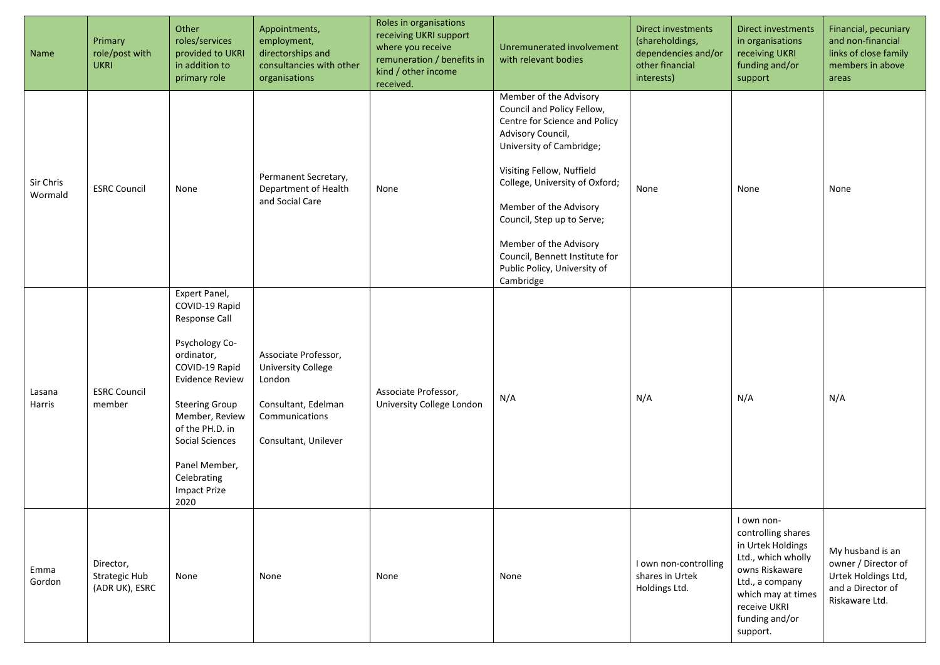| Name                 | Primary<br>role/post with<br><b>UKRI</b>     | Other<br>roles/services<br>provided to UKRI<br>in addition to<br>primary role                                                                                                                                                                                                | Appointments,<br>employment,<br>directorships and<br>consultancies with other<br>organisations                               | Roles in organisations<br>receiving UKRI support<br>where you receive<br>remuneration / benefits in<br>kind / other income<br>received. | Unremunerated involvement<br>with relevant bodies                                                                                                                                                                                                                                                                                                                      | Direct investments<br>(shareholdings,<br>dependencies and/or<br>other financial<br>interests) | <b>Direct investments</b><br>in organisations<br>receiving UKRI<br>funding and/or<br>support                                                                                         | Financial, pecuniary<br>and non-financial<br>links of close family<br>members in above<br>areas       |
|----------------------|----------------------------------------------|------------------------------------------------------------------------------------------------------------------------------------------------------------------------------------------------------------------------------------------------------------------------------|------------------------------------------------------------------------------------------------------------------------------|-----------------------------------------------------------------------------------------------------------------------------------------|------------------------------------------------------------------------------------------------------------------------------------------------------------------------------------------------------------------------------------------------------------------------------------------------------------------------------------------------------------------------|-----------------------------------------------------------------------------------------------|--------------------------------------------------------------------------------------------------------------------------------------------------------------------------------------|-------------------------------------------------------------------------------------------------------|
| Sir Chris<br>Wormald | <b>ESRC Council</b>                          | None                                                                                                                                                                                                                                                                         | Permanent Secretary,<br>Department of Health<br>and Social Care                                                              | None                                                                                                                                    | Member of the Advisory<br>Council and Policy Fellow,<br>Centre for Science and Policy<br>Advisory Council,<br>University of Cambridge;<br>Visiting Fellow, Nuffield<br>College, University of Oxford;<br>Member of the Advisory<br>Council, Step up to Serve;<br>Member of the Advisory<br>Council, Bennett Institute for<br>Public Policy, University of<br>Cambridge | None                                                                                          | None                                                                                                                                                                                 | None                                                                                                  |
| Lasana<br>Harris     | <b>ESRC Council</b><br>member                | Expert Panel,<br>COVID-19 Rapid<br>Response Call<br>Psychology Co-<br>ordinator,<br>COVID-19 Rapid<br><b>Evidence Review</b><br><b>Steering Group</b><br>Member, Review<br>of the PH.D. in<br>Social Sciences<br>Panel Member,<br>Celebrating<br><b>Impact Prize</b><br>2020 | Associate Professor,<br><b>University College</b><br>London<br>Consultant, Edelman<br>Communications<br>Consultant, Unilever | Associate Professor,<br>University College London                                                                                       | N/A                                                                                                                                                                                                                                                                                                                                                                    | N/A                                                                                           | N/A                                                                                                                                                                                  | N/A                                                                                                   |
| Emma<br>Gordon       | Director,<br>Strategic Hub<br>(ADR UK), ESRC | None                                                                                                                                                                                                                                                                         | None                                                                                                                         | None                                                                                                                                    | None                                                                                                                                                                                                                                                                                                                                                                   | I own non-controlling<br>shares in Urtek<br>Holdings Ltd.                                     | I own non-<br>controlling shares<br>in Urtek Holdings<br>Ltd., which wholly<br>owns Riskaware<br>Ltd., a company<br>which may at times<br>receive UKRI<br>funding and/or<br>support. | My husband is an<br>owner / Director of<br>Urtek Holdings Ltd,<br>and a Director of<br>Riskaware Ltd. |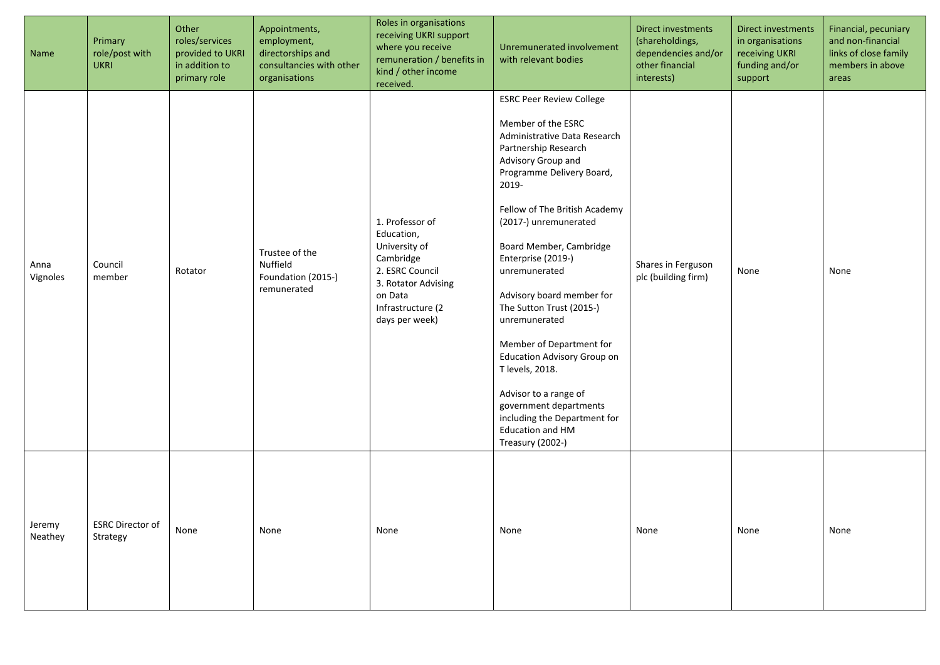| Name              | Primary<br>role/post with<br><b>UKRI</b> | Other<br>roles/services<br>provided to UKRI<br>in addition to<br>primary role | Appointments,<br>employment,<br>directorships and<br>consultancies with other<br>organisations | Roles in organisations<br>receiving UKRI support<br>where you receive<br>remuneration / benefits in<br>kind / other income<br>received.                 | Unremunerated involvement<br>with relevant bodies                                                                                                                                                                                                                                                                                                                                                                                                                                                                                                                                               | Direct investments<br>(shareholdings,<br>dependencies and/or<br>other financial<br>interests) | Direct investments<br>in organisations<br>receiving UKRI<br>funding and/or<br>support | Financial, pecuniary<br>and non-financial<br>links of close family<br>members in above<br>areas |
|-------------------|------------------------------------------|-------------------------------------------------------------------------------|------------------------------------------------------------------------------------------------|---------------------------------------------------------------------------------------------------------------------------------------------------------|-------------------------------------------------------------------------------------------------------------------------------------------------------------------------------------------------------------------------------------------------------------------------------------------------------------------------------------------------------------------------------------------------------------------------------------------------------------------------------------------------------------------------------------------------------------------------------------------------|-----------------------------------------------------------------------------------------------|---------------------------------------------------------------------------------------|-------------------------------------------------------------------------------------------------|
| Anna<br>Vignoles  | Council<br>member                        | Rotator                                                                       | Trustee of the<br>Nuffield<br>Foundation (2015-)<br>remunerated                                | 1. Professor of<br>Education,<br>University of<br>Cambridge<br>2. ESRC Council<br>3. Rotator Advising<br>on Data<br>Infrastructure (2<br>days per week) | <b>ESRC Peer Review College</b><br>Member of the ESRC<br>Administrative Data Research<br>Partnership Research<br>Advisory Group and<br>Programme Delivery Board,<br>2019-<br>Fellow of The British Academy<br>(2017-) unremunerated<br>Board Member, Cambridge<br>Enterprise (2019-)<br>unremunerated<br>Advisory board member for<br>The Sutton Trust (2015-)<br>unremunerated<br>Member of Department for<br><b>Education Advisory Group on</b><br>T levels, 2018.<br>Advisor to a range of<br>government departments<br>including the Department for<br>Education and HM<br>Treasury (2002-) | Shares in Ferguson<br>plc (building firm)                                                     | None                                                                                  | None                                                                                            |
| Jeremy<br>Neathey | <b>ESRC Director of</b><br>Strategy      | None                                                                          | None                                                                                           | None                                                                                                                                                    | None                                                                                                                                                                                                                                                                                                                                                                                                                                                                                                                                                                                            | None                                                                                          | None                                                                                  | None                                                                                            |